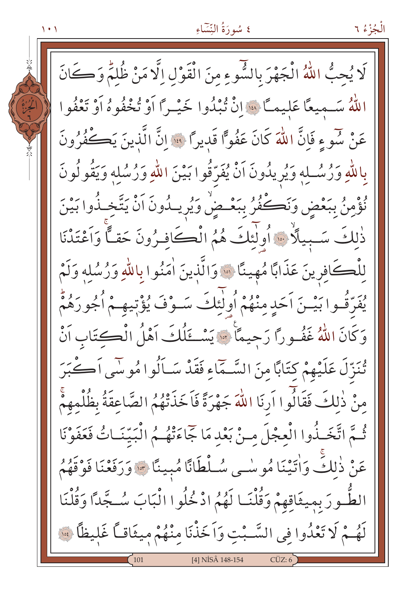۱۰۱

الْجُزْءُ ٦

لَا يُحبُّ اللَّهُ الْجَهْرَ بِالشُّوءِ مِنَ الْقَوْلِ إِلَّا مَنْ ظُلَّمَ وَكَانَ اللَّهُ سَـميعًا عَليمـًا ﴾ [انْ تُبْدُوا خَيْـرًا أَوْ تُخْفُوهُ أَوْ تَعْفُوا عَنْ سُوءٍ فَإِنَّ اللَّهَ كَانَ عَفُوًّا قَديراً \* إِنَّ الَّذينَ يَكُفُرُونَ بِاللَّهِ وَرُسُلِهِ وَيُرِيدُونَ أَنْ يُفَرِّقُوا بَيْنَ اللَّهِ وَرُسُلِهِ وَيَقُولُونَ نُؤْمِنُ بِبَعْضٍ وَنَكْفُرُ بِبَعْـضٌ وَيُرِيـدُونَ اَنْ يَتَّخِـذُوا بَيْنَ ذٰلِكَ سَبِيلًا \* أُولٰئِكَ هُمُ الْكَافِرُونَ حَقًّا وَاَعْتَدْنَا لِلْكَافِرِينَ عَذَابًا مُهِينًا ۞ وَالَّذِينَ اٰمَنُوا بِاللَّهِ وَرُسُلِهِ وَلَمْ يُفَرِّقُوا بَيْـنَ اَحَدٍ مِنْهُمْ أُولٰئِكَ سَـوْفَ يُؤْتِيهِـمْ أُجُورَهُمْ وَكَانَ اللَّهُ غَفُوراً رَحِيماً \* يَسْتَلُكَ آهْلُ الْكتَابِ أَنْ تُنَزِّلَ عَلَيْهِمْ كِتَابًا مِنَ السَّـمَاءِ فَقَدْ سَـاَلُوا مُوسَى اَكْبَرَ مِنْ ذٰلِكَ فَقَالُوا اَرِنَا اللَّهَ جَهْرَةً فَاَخَذَتْهُمُ الصَّاعِقَةُ بِظُلْمِهِمْ ثُمَّ اتَّخَـٰذُوا الْعِجْلَ مـنْ بَعْدِ مَا جَاءَتْهُـمُ الْبَيّتَـاتُ فَعَفَوْنَا عَنْ ذٰلكَ وَاٰتَيْنَا مُوسٰى سُلْطَانًا مُبِينًا ۞ وَرَفَعْنَا فَوْقَهُمُ الطَّـورَ بمِيثَاقِهِمْ وَقُلْنَـا لَهُمُ ادْخُلُوا الْبَابَ سُـجَّدًا وَقُلْنَا لَهُمْ لَا تَعْدُوا فِي السَّبْتِ وَاَخَذْنَا مِنْهُمْ مِيثَاقاً غَلِيظاً ﴾ [4] NISÂ 148-154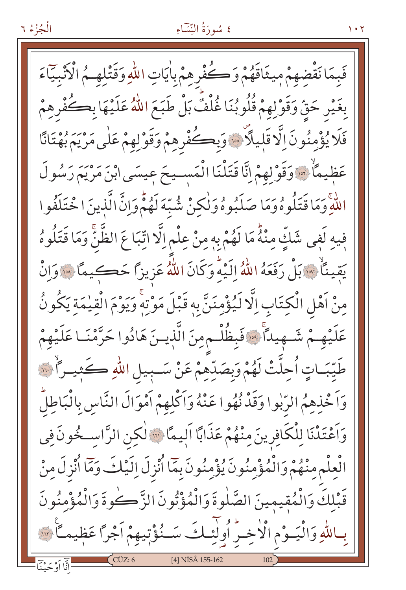فَبِمَا نَقْضِهِمْ مِيثَاقَهُمْ وَكُفْرِهِمْ بِاٰيَاتِ اللَّهِ وَقَتْلِهِمْ الْأُنْبِيَاءَ بِغَيْرِ حَقٍّ وَقَوْلِهِمْ قُلُوبُنَا غُلْفٌ بَلْ طَبَعَ اللَّهُ عَلَيْهَا بِكُفْرِهِمْ فَلَا يُؤْمِنُونَ اِلَّا قَلِيلًا ۚ وَبِكُفْرِهِمْ وَقَوْلِهِمْ عَلَى مَرْيَمَ بُهْتَانًا عَظيمَاً ۞ وَقَوْلِهِمْ إِنَّا قَتَلْنَا الْمَسـيحَ عِيسَى ابْنَ مَرْيَمَ رَسُولَ اللَّهِ وَمَا قَتَلُوهُ وَمَا صَلَبُوهُ وَلْكِنْ شُبِّهَ لَهُمّْ وَإِنَّ الَّذِينَ ا خْتَلَفُوا فِيهِ لَفِي شَكٍّ مِنْهُ مَا لَهُمْ بِهِ مِنْ عِلْمِ الَّا اتِّبَا عَ الظَّنِّ وَمَا قَتَلُوهُ يَقِينَاْ ۞ بَلْ رَفَعَهُ اللَّهُ إِلَيْهِ وَكَانَ اللَّهُ عَزِيزاً حَكِيمًا ۞ وَانْ مِنْ اَهْلِ الْكِتَابِ اِلَّا لَيُؤْمِنَنَّ بِهِ قَبْلَ مَوْتِهِ وَيَوْمَ الْقِيْمَةِ يَكُونُ عَلَيْهِـمْ شَـهِيداً • فَبِظُلْـم مِنَ الَّذِيـنَ هَادُوا حَرَّمْنَـا عَلَيْهِمْ طَيِّبَـاتٍ اُحِلَّتْ لَهُمْ وَبِصَدِّهِمْ عَنْ سَـبِيلِ اللَّهِ كَثِيـراً ۚ ٣٠ وَاَخْذِهِمُ الرَّبٰوا وَقَدْنُهُوا عَنْهُ وَاَكْلِهِمْ اَمْوَالَ النَّاسِ بِالْبَاطِلِّ وَاَعْتَدْنَا لِلْكَافِرِينَ مِنْهُمْ عَذَابًا اَلِيمًا ۞ لٰكِنِ الرَّاسِكُونَ فِي الْعِلْمِ مِنْهُمْ وَالْمُؤْمِنُونَ يُؤْمِنُونَ بِمَا أُنْزِلَ اِلَيْكَ وَمَا أُنْزِلَ مِنْ قَبْلِكَ وَالْمُقِيمِينَ الصَّلٰوةَ وَالْمُؤْتُونَ الزَّكْرِةَ وَالْمُؤْمِنُونَ بِاللَّهِ وَالْيَــوْمِ الْاخِــرُّ أُولِّئِــكَ سَــنُوْتِيهِمْ اَجْرًا عَظِيمـاً \*\* [4] NİSÂ 155-162 رِ<br>انَّا اَوْ حَيْنَا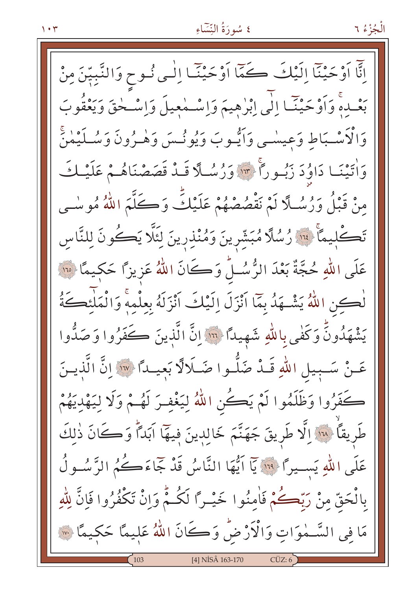$\mathbf{y} \cdot \mathbf{y}$ 

الْجُزْءُ ٦

اِنَّا اَوْحَيْنَا إِلَيْكَ كَمَّا اَوْحَيْنَا إِلَٰى نُوحٍ وَالنَّبِيِّنَ مِنْ بَعْـدهْ وَاَوْحَيْنَـا إِلَى إِبْرٰهِيمَ وَاِسْـمْعِيلَ وَاِسْـحْقَ وَيَعْقُوبَ وَالْأَسْـبَاطِ وَعِيسْـي وَاَيُّـوبَ وَيُونُـسَ وَهْـرُونَ وَسُـلَيْمٰنَّ وَاٰتَيْنَـا دَاوُدَ زَبُـوراً ۚ " وَرُسُـلَّا قَـدْ قَصَصْنَاهُـمْ عَلَيْـكَ مِنْ قَبْلُ وَرُسُلًا لَمْ نَقْصُصْهُمْ عَلَيْكً وَكَلَّمَ اللَّهُ مُوسٰى تَكْلِيمَا ۚ ۚ ۚ أَنَّا رُسُلًا مُبَشِّرِينَ وَمُنْذِرِينَ لِئَلَّا يَكُونَ لِلنَّاسِ عَلَى اللهِ حُجَّةٌ بَعْدَ الرُّسُـلُ وَكَانَ اللَّهُ عَزِيزاً حَكِيمًا ۞ لْكِنِ اللَّهُ يَشْهَدُ بِمَّا أَنْزَلَ اِلَيْكَ أَنْزَلَهُ بِعِلْمِهِ وَالْمَلْئِكَةُ يَشْهَدُونَّ وَكَفْى بِاللّهِ شَهِيداً إِنَّا الَّذِينَ كَفَرُوا وَصَدُّوا عَـنْ سَـبِيلِ اللهِ قَـدْ ضَلَّـوا ضَـلَالًا بَعيـداً ﴿ وَلَا إِنَّ الَّذِيـنَ كَفَرُوا وَظَلَمُوا لَمْ يَكُنِ اللَّهُ لِيَغْفِرَ لَهُـمْ وَلَا لِيَهْدِيَهُمْ طَريقاً لِلَّا اِلَّا طَرِيقَ جَهَنَّمَ خَالِدِينَ فِيهَا آبَداً وَكَانَ ذٰلِكَ عَلَى اللّهِ يَسِيرًا ۚ قَ ٱ أَيُّهَا النَّاسُ قَدْ جَمَاءَكُمُ الرَّسُولُ بِالْحَقِّ مِنْ رَبِّكُمْ فَاٰمِنُوا خَيْـرًا لَكُـمّْ وَاِنْ تَكْفُرُوا فَاِنَّ لِلّٰهِ مَا فِي السَّـمٰوَاتِ وَالْأَرْضُ وَكَانَ اللهُ عَلِيمًا حَكِيمًا ۞ [4] NİSÂ 163-170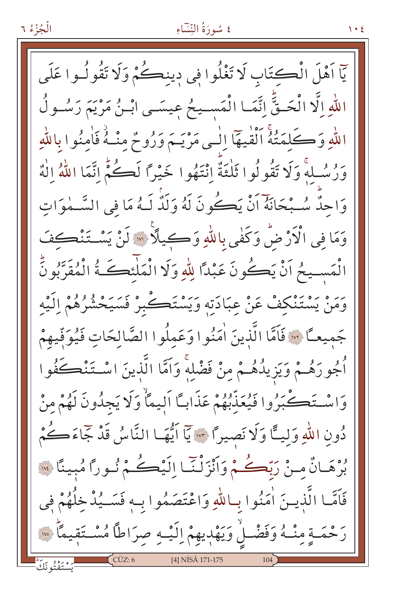#### الْجُزْءُ ٦

# ٤ سُورَةُ النِّسَاءِ

يّاً اَهْلَ الْكتَابِ لَا تَغْلُوا فِي دينڪُمْ وَلَا تَقُولُـوا عَلَى اللهِ اِلَّا الْحَـقِّ اِنَّمَـا الْمَسـيحُ عِيسَـى ابْـنُ مَرْيَمَ رَسُـولُ اللَّهِ وَكَلَّمَتُهُ ٱلْقٰيَهَا اِلْمِي مَرْيَـمَ وَرُوحٌ مِنْـهُ فَاٰمِنُوا بِاللَّهِ وَرُسُلُّهِ وَلَا تَقُولُوا ثَلْثَةٌ إِنْتَهُوا خَيْرًا لَكُمُّ إِنَّمَا اللَّهُ إِلٰهٌ وَاحِدٌّ سُـبْحَانَهُ اَنْ يَكُونَ لَهُ وَلَدٌٰ لَـهُ مَا في السَّـمٰوَاتِ وَمَا فِي الْأَرْضُ وَكَفٰى بِاللَّهِ وَكِيلًا ۞ لَنْ يَسْتَنْكِفَ الْمَسِيحُ اَنْ يَكُونَ عَبْدًا لِلّهِ وَلَا الْمَلْنَكَـةُ الْمُقَرَّبُونَّ يَرَهُ يَسْتَنْكِفْ عَنْ عِبَادَتِهِ وَيَسْتَكْبِرْ فَسَيَحْشُرُهُمْ اِلَيْه جَميعـًا ۞ فَاَمَّا الَّذِينَ اٰمَنُوا وَعَمِلُوا الصَّالِحَاتِ فَيُوَفِّيهِمْ أُجُورَهُـمْ وَيَزِيدُهُـمْ مِنْ فَضْلِهِۚ وَاَمَّا الَّذِينَ اسْـتَنْڪَفُوا وَاسْتَكْبَرُوا فَيُعَذِّبُهُمْ عَذَابِكَا اَلِيمَاْ وَلَا يَجِدُونَ لَهُمْ مِنْ دُونِ اللَّهِ وَلِيًّا وَلَا نَصِيرًا ٣٠٠ يَا اَيُّهَـا النَّاسُ قَدْ جَاءَكُمْ بُرْهَـانٌ مِـنْ رَبّْكُـمْ وَأَنْزَلْنَّـا إِلَيْكُـمْ نُـورًا مُبِينًا ۞ فَاَمَّــا الَّذيــنَ اٰمَنُوا بِـاللَّهِ وَاعْتَصَمُوا بِـهٖ فَسَــيُدْخِلُهُمْ فِي رَحْمَـةٍ مِنْـهُ وَفَضْـلْ وَيَهْدِيهِمْ اِلَيْـهِ صِرَاطًا مُسْـتَقِيمًا ۞ [4] NİSÂ 171-175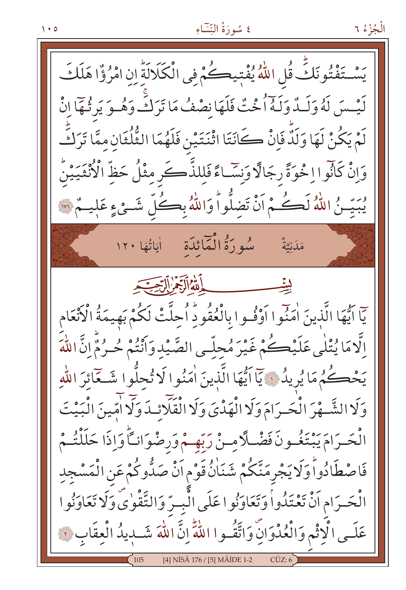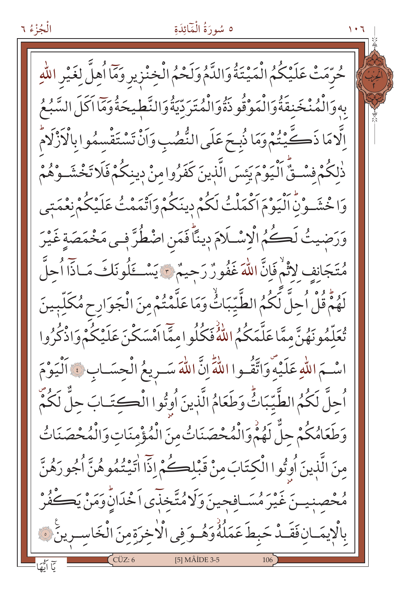الْجُزْءُ ٦

حُرِّمَتْ عَلَيْكُمُ الْمَيْتَةُ وَالدَّمُ وَلَحْمُ الْخِنْزِيرِ وَمَاۤ اُهِلَّ لِغَيْرِ اللّٰهِ بِهِ وَالْمُنْخَنِقَةُ وَالْمَوْقُو ذَةً وَالْمُتَرَدِّيَةُ وَالنَّطِيحَةُ وَمَا اَكَلَ السَّبُعُ اِلَّامَا ذَكَّيْتُمْ وَمَا ذُبِحَ عَلَى النُّصُبِ وَأَنْ تَسْتَقْسِمُوا بِالْأَزْلَامُ ذٰلكُمْ فسْتِيٌّ اَلْيَوْمَ يَئِسَ الَّذِينَ كَفَرُوا مِنْ دِينِكُمْ فَلَا تَخْشَــوْهُمْ وَاخْشَـوْنَٰ اَلْيَوْمَ اَكْمَلْتُ لَكُمْ دِينَكُمْ وَاَتَّمَمْتُ عَلَيْكُمْ نَعْمَتِي وَرَضيتُ لَكُمُ الْإِسْلَامَ دِينًا فَمَنِ اضْطُرَّ فِي مَخْمَصَةِ غَيْرَ مُتَجَانِفٍ لِأَثْمٌ فَإِنَّ اللَّهَ غَفُورٌ رَحِيمٌ \* يَسْكَلُونَكَ مَـاذّاً أُحِلَّ لَهُمُّ قُلْ اُحلَّ لَكُمُ الطَّيّبَاثُ وَمَا عَلَّمْتُمْ مِنَ الْجَوَارِحِ مُكَلِّبِينَ تُعَلَّمُونَهُنَّ ممَّا عَلَّمَكُمُ اللَّهُ فَكُلُوا ممَّا اَهْسَكْنَ عَلَيْكُمْ وَاذْكُرُوا اسْـمَ اللّهِ عَلَيْهِ وَاتَّقُـوا اللّهِ إِنَّ اللّهَ سَـرِيعُ الْجِسَـابِ ﴾ اَلْيَوْمَ اُجِلَّ لَكُمُ الطَّيِّبَاتُّ وَطَعَامُ الَّذِينَ اُوتُوا الْكِتَـابَ حِلٌّ لَكُمْ وَطَعَامُكُمْ حلٌّ لَهُمْ وَالْمُحْصَنَاتُ منَ الْمُؤْمِنَاتِ وَالْمُحْصَنَاتُ مِنَ الَّذِينَ أُوتُوا الْكِتَابَ مِنْ قَبْلِكُمْ إِذَّا اٰتَيْتُمُوهُنَّ اُجُورَهُنَّ مُحْصِنِيسَ غَيْرَ مُسَافِحِينَ وَلَا مُتَّخِذَى اَخْدَانَٰ وَمَنْ يَكُفُرْ بِالْإِيمَـانِ فَقَـدْ حَبِطَ عَمَلُهُ وَهُـوَ فِي الْأَخِرَةِ مِنَ الْخَاسِـرِينَ فَ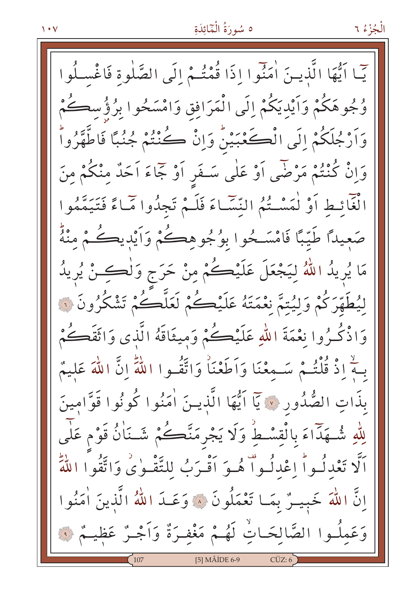$\sqrt{4}$ 

الْجُزْءُ ٦

يِّما أَيُّهَا الَّذِينَ اٰمَنُوا إِذَا قُمْتُـمْ إِلَى الصَّلٰوة فَاغْسِـلُوا وُجُوهَكُمْ وَاَيْدِيَكُمْ إِلَى الْمَرَافِقِ وَامْسَحُوا بِرُؤُسِكُمْ وَاَرْجُلَكُمْ إِلَى الْكَعْبَيْنُ وَإِنْ كُنْتُمْ جُنُبًا فَاطَّهَّرُواْ وَإِنْ كُنْتُمْ مَرْضَى أَوْ عَلَى سَـفَرٍ أَوْ جَمَاءَ أَحَدٌ مِنْكُمْ مِنَ الْغَائِطِ أَوْ لْمَسْتُمُ النِّسَّاءَ فَلَـمْ تَجِدُّوا مَّاءً فَتَيَمَّمُوا صَعِيدًا طَيِّبًا فَامْسَـحُوا بِوُجُوهِـحُـمْ وَأَيْدِيكُـمْ مِنْهُ مَا يُرِيدُ اللَّهُ لِيَجْعَلَ عَلَيْكُمْ مِنْ حَرَجٍ وَلْكِـنْ يُرِيدُ لِيُطَهَّرَكُمْ وَلَيُتِمَّ نِعْمَتَهُ عَلَيْكُمْ لَعَلَّكُمْ تَشْكُرُونَ نَ وَاذْكُرُوا نَعْمَةَ اللَّهِ عَلَيْكُمْ وَمِيثَاقَهُ الَّذِي وَاثَقَكُمْ بِـهِ ۚ إِذْ قُلْتُـمْ سَـمِعْنَا وَاَطَعْنَاْ وَاتَّقُـوا اللَّهِۗ إِنَّ اللَّهَ عَليمٌ بِذَاتِ الصُّدُورِ ﴾ يَا اَيُّهَا الَّذِينَ اٰمَنُوا كُونُوا قَوَّامِينَ لِلّٰهِ شُـهَدًّاءَ بِالْقِسْطُ وَلَا يَجْرِمَنَّكُمْ شَـنَاٰنُ قَوْم عَلٰى اَلَّا تَعْدِلُواْ اعْدِلُواْ هُوَ اَقْبَرَبُ لِلتَّقْبِوٰي وَاتَّقُوا اللَّهَ إِنَّ اللَّهَ خَبِيسٌ بِمَا تَعْمَلُونَ ۞ وَعَـدَ اللَّهُ الَّذِينَ أُمَنُوا وَعَمِلُـوا الصَّالِحَـاتِ لَهُـمْ مَغْفِـرَةٌ وَاَجْـرٌ عَظيـمٌ ۞ [5] MÂİDE 6-9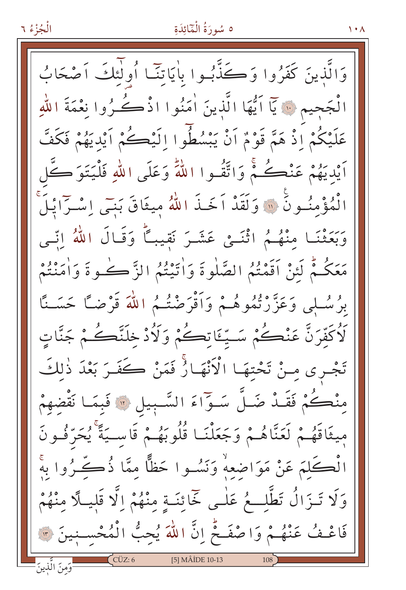وَالَّذِينَ كَفَرُوا وَكَذَّبُوا بِأَيَاتِنَـا أُولٰئِكَ آصْحَابُ الْجَحِيمِ ۞ يَاۤ اَيُّهَا الَّذِينَ اٰمَنُوا اذْكُـرُوا نِعْمَةَ اللّٰهِ عَلَيْكُمْ إِذْ هَمَّ قَوْمٌ أَنْ يَبْسُطُوا إِلَيْكُمْ أَيْدِيَهُمْ فَكَفَّ أَيْدِيَهُمْ عَنْڪُمْ وَاتَّقُـوا اللَّهَ وَعَلَى اللَّهِ فَلْيَتَوَ ڪَّل الْمُؤْمِنُونَ ۚ ۚ وَلَقَدْ اَخَـٰذَ اللَّهُ مِيثَاقَ بَنِـّى اِسْـرَايْـلَ رَحِيرٌ مِنْهُمُ اثْنَـىْ عَشَـرَ نَقِيباً وَقَـالَ اللَّهُ اِنَّـى مَعَكُمْ لَئِنْ أَقَمْتُمُ الصَّلٰوةَ وَاٰتَيْتُمُ الزَّكُ كُوةَ وَاٰمَنْتُمْ بِرُسُلِي وَعَزَّرْتُمُوهُـمْ وَأَقْرَضْتُـمُ اللَّهَ قَرْضًا حَسَـنًا لَاُكَفِّرَنَّ عَنْكُمْ سَتِّئَاتِكُمْ وَلَأُدْخِلَنَّكُمْ جَنَّاتٍ تَجْـري مِـنْ تَحْتِهَـا الْأَنْهَـائٌ فَمَنْ كَفَـرَ بَعْدَ ذٰلِكَ مِنْكُمْ فَقَـدْ ضَـلَّ سَـوّاءَ السَّـبِيلِ \* فَبِمَـا نَقْضِهِمْ مِيثَاقَهُـمْ لَعَنَّاهُـمْ وَجَعَلْنَـا قُلُوبَهُـمْ قَاسـيَةً يُحَرِّفُـونَ الْكَلِمَ عَنْ مَوَاضِعِهْ وَنَسُـوا حَظًّا ممَّا ذُكَّرُوا بِهَ وَلَا تَـزَالُ تَطَّلِّــعُ عَلٰـى خَمَائِنَـةٍ مِنْهُمْ إِلَّا قَلِيـلًا مِنْهُمْ فَاعْـفُ عَنْهُـمْ وَاصْفَـحْ إِنَّ اللَّهَ يُحِبُّ الْمُحْسِبِينَ ٣ ار من الَّذينَ [5] MÂİDE 10-13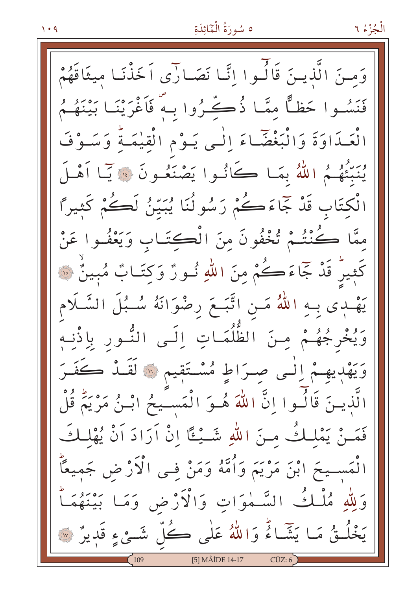وَمنَ الَّذينَ قَالَـوا إِنَّـا نَصَـارَى اَخَذْنَـا ميثَاقَهُمْ فَنَسُوا حَظًّا مِمَّا ذُكِّرُوا بِهِ فَأَغْرَيْنَا بَيْنَهُمُ الْعَدَاوَةَ وَالْبَغْضَاءَ إِلَى يَـوْمِ الْقِيْمَـةُ وَسَـوْفَ يُنبِّئُهُمُ اللَّهُ بِمَا كَانُوا يَصْنَعُونَ ۞ يَا أَهْلَ الْكِتَابِ قَدْ جَمَاءَكُمْ رَسُولُنَا يُبَيِّنُ لَكُمْ كَثِيرًا ممَّا كُنْتُمْ تُخْفُونَ مِنَ الْكِتَـابِ وَيَعْفُـوا عَنْ كَثِيرٌ قَدْ جَمَاءَكُمْ مِنَ اللَّهِ نُــورٌ وَكِتَــابٌ مُبِينٌ ۞ يَهْدِى بِـهِ اللَّهُ مَـنِ اتَّبَـعَ رضْوَانَهُ سُـبُلَ السَّـلَام وَيُخْرِجُهُـمْ مِنَ الظُّلُمَـاتِ اِلَـى النُّـور بِاِذْنِـهِ وَيَهْدِيهِمْ إِلَى صِرَاطٍ مُسْتَقِيمٍ ۚ إِنَّ لَقَـٰدٌ كَفَـرَ الَّذِينَ قَالُـوا إِنَّ اللَّهَ هُـوَ الْمَسـَـيحُ ابْـنُ مَرْيَمٌ قُلْ فَمَـنْ يَمْلِكُ مـنَ اللَّهِ شَـيْـٵًا إِنْ أَرَادَ أَنْ يُهْلِكَ الْمَســيحَ ابْنَ مَرْيَمَ وَأُمَّهُ وَمَنْ فـى الْآرْثِ ض جَميعًاّ السَّمْوَاتِ وَالْأَرْضِ وَمَا بَيْنَهُمَاً وَلِلَّهِ مُلْكُ يَخْلُقُ مَا يَشَاءُ وَاللَّهُ عَلَى كُلِّ شَئْءٍ قَدِيرٌ ۞ [5] MÂİDE 14-17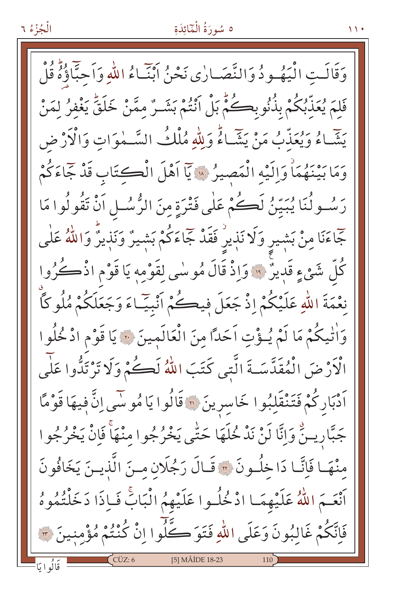وَقَالَتِ الْيَهُـودُ وَالنَّصَـارٰى نَحْنُ ابْنَـاءُ اللهِ وَاَحبَّاؤُهُ قُلْ فَلِمَ يُعَذِّبُكُمْ بِذُنُوبِكُمْ بَلْ أَنْتُمْ بَشَـرٌ مِمَّنْ خَلَقَّ يَغْفرُ لمَنْ يَتَّبَاءُ وَيُعَذِّبُ مَنْ يَشَاءُ وَلِلَّهِ مُلْكُ السَّـمٰوَاتِ وَالْأَرْضِ وَمَا بَيْنَهُمَاْ وَإِلَيْهِ الْمَصِيرُ « يَآ اَهْلَ الْكِتَابِ قَدْ جَمَاءَكُمْ رَسُولُنَا يُبَيِّنُ لَكُمْ عَلَى فَتْرَةٍ مِنَ الرُّسُلِ اَنْ تَقُولُوا مَا جٓاءَنَا مِنْ بَشٖيرِ وَلَا نَذٖيرِ ۚ فَقَدْ جَاءَكُمْ بَشِيرٌ وَنَذِيرٌ وَاللَّهُ عَلٰى كُلُّ شَيْءٍ قَدِيرٌ ۚ وَإِذْ قَالَ مُوسٰى لِقَوْمِهِ يَا قَوْمِ اذْكُرُوا نِعْمَةَ اللّهِ عَلَيْكُمْ إِذْ جَعَلَ فِيكُمْ أَنْبِيّاءَ وَجَعَلَكُمْ مُلُو كَأَ وَاٰتِيكُمْ مَا لَمْ يُـؤْتِ اَحَدًّا مِنَ الْعَالَمِينَ ۞ يَا قَوْمِ ادْخُلُوا الْأَرْضَ الْمُقَدَّسَـةَ الَّتى كَتَبَ اللّهُ لَكُمْ وَلَا تَرْتَدُّوا عَلَى اَدْبَارِكُمْ فَتَنْقَلِبُوا خَاسِرِينَ <mark>۞</mark> قَالُوا يَا مُوسَى اِنَّ فِيهَا قَوْمًا جَبَّارِيسٌّ وَإِنَّا لَنْ نَدْ خُلَهَا حَتَّى يَخْرُجُوا مِنْهَاْ فَإِنْْ يَخْرُجُوا مِنْهَا فَإِنَّا دَاخِلُونَ \* قَـالَ رَجُلَانِ مِـنَ الَّذِيـنَ يَخَافُونَ اَنْعَـمَ اللَّهُ عَلَيْهِمَـا ادْخُلُـوا عَلَيْهِمُ الْبَابَّ فَبِاذَا دَخَلْتُمُوهُ فَاِتَّكُمْ غَالِبُونَ وَعَلَى اللّهِ فَتَوَكَّلُوا إِنْ كُنْتُمْ مُؤْمِنِينَ ؟ [5] MÂİDE 18-23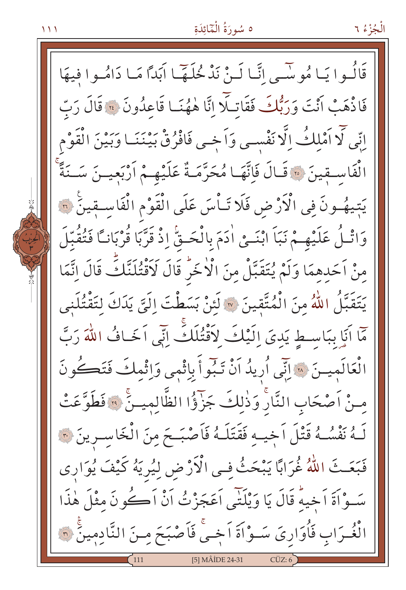الْجُزْءُ ٦

قَالُـوا يَـا مُو سِّـى انَّـا لَـنْ نَدْ خُلَـهَّـا اَبَدًا مَـا دَامُـوا فيهَا فَاذْهَبْ أَنْتَ وَرَبُّكَ فَقَاتِلًّا إِنَّا هٰهُنَا قَاعِدُونَ ﴾ قَالَ رَبّ اتِّي لَّا اَمْلِكُ إِلَّا نَفْسي وَاَخِي فَافْرُقْ بَيْنَنَـا وَبَيْنَ الْقَوْمِ الْفَاسِقِينَ ۞ قَالَ فَإِنَّهَا مُحَرَّمَةٌ عَلَيْهِمْ أَرْبَعِينَ سَـنَةً يَتِيهُـونَ فِي الْأَرْضِ فَلَا تَـاْسَ عَلَى الْقَوْمِ الْفَاسـقِينَ ۞ وَاتْـلُ عَلَيْهِـمْ نَبَاَ ابْنَــىْ اٰدَمَ بِالْحَــقّْ إِذْ قَرَّبَا قُرْبَانـاً فَتُقُبّلَ مِنْ اَحَدِهِمَا وَلَمْ يُتَقَبَّلْ مِنَ الْأَخَرُّ قَالَ لَأَقْتُلَنَّكَ قَالَ اتَّمَا يَتَقَبَّلُ اللَّهُ مِنَ الْمُتَّقِينَ ۞ لَئِنْ بَسَطْتَ إِلَيَّ يَدَكَ لِتَقْتُلَنِي مَّا أَنَا بِبَاسِطٍ يَدِيَ إِلَيْكَ لِأَقْتُلَكَ إِنِّي أَخَافُ اللَّهَ رَبَّ الْعَالَمِينَ ۞ إِنِّي أُرِيدُ اَنْ تَبُواً بِاثْمِي وَاِثْمِكَ فَتَكُونَ مِنْ اَصْحَابِ النَّارْ وَذٰلِكَ جَزَوُّا الظَّالِمِينَّ ۞ فَطَوَّعَتْ لَـهُ نَفْسُـهُ قَتْلَ اَخِيـهِ فَقَتَلَـهُ فَاَصْبَـحَ مِنَ الْخَاسِـرِينَ ۞ فَبَعَـثَ اللَّهُ غُرَابًا يَبْحَثُ فِي الْأَرْضِ لِيُرِيَهُ كَيْفَ يُوَارِي سَـوْاَةَ اَخِيهٌ قَالَ يَا وَيْلَتِّي اَعَجَزْتُ اَنْ اَكْوِنَ مثْلَ هٰذَا الْغُـرَابِ فَأُوَارِيَ سَـوْاَةَ اَجْـيْ فَاَصْبَحَ مِـنَ النَّادِمِينَ ۞ [5] MÂİDE 24-31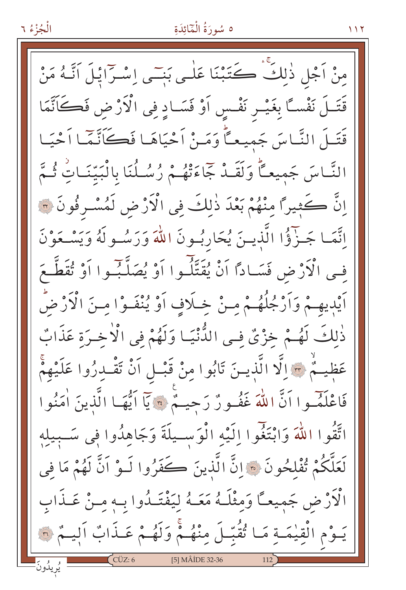مِنْ اَجْلِ ذٰلِكٌ ڪَتَبْنَا عَلٰـي بَنِــّي اِسْـرَايْـلَ اَنَّـهُ مَنْ قَتَــلَ نَفْسـًا بِغَيْــر نَفْـسِ اَوْ فَسَــادِ فِى الْأَرْضِ فَكَانَّمَا قَتَـلَ النَّـاسَ جَميعـاًّ وَمَـنْ اَحْيَاهَـا فَكَانَّـمَّـا اَحْيَـا النَّاسَ جَمِيعـًا وَلَقَـدْ جَمَاءَتْهُـمْ رُسُـلُنَا بِالْبَيِّنَـاتِ ثُـمَّ إِنَّ كَثِيرًا مِنْهُمْ بَعْدَ ذٰلِكَ فِي الْأَرْضِ لَمُسْرِفُونَ ٣ إِنَّمَا جَـزَّؤُا الَّذِيـنَ يُحَارِبُـونَ اللَّهَ وَرَسُـولَهُ وَيَسْـعَوْنَ في الْأَرْضِ فَسَادًا أَنْ يُقَتِّلُوا أَوْ يُصَلِّبُوا أَوْ تُقَطَّعَ اَيْدِيهِـمْ وَاَرْجُلُهُـمْ مِـنْ خِـلَافٍ اَوْ يُنْفَـوْا مِـنَ الْأَرْضُ ذٰلِكَ لَهُمْ خِزْيٌ فِي الدُّّنْيَـا وَلَهُمْ فِي الْأُخـرَة عَذَابٌ عَظِيمٌ ﴾ [لَّا الَّذِينَ تَابُوا مِنْ قَبْـل أَنْ تَقْـدِرُوا عَلَيْهِمْ فَاعْلَمُ وا أَنَّ اللَّهَ غَفُورٌ رَحِيمٌ \* يَا أَيُّهَا الَّذِينَ أُمَنُوا اتَّقُوا اللَّهَ وَابْتَغُوا اِلَيْهِ الْوَسِيلَةَ وَجَاهِدُوا فِي سَـبِيلِهِ لَعَلَّكُمْ تُفْلِحُونَ ۞ إِنَّ الَّذِينَ كَفَرُوا لَـوْ اَنَّ لَهُمْ مَا فِي الْأَرْضِ جَميعـًا وَمِثْلَـهُ مَعَـهُ لِيَفْتَـلُوا بِـهِ مِـنْ عَـذَابِ يَـوْمِ الْقِيْمَـةِ مَـا تُقُبّـلَ مِنْهُـمْ وَلَهُـمْ عَـذَابٌ أَلِيـمْ ٣ [5] MÂİDE 32-36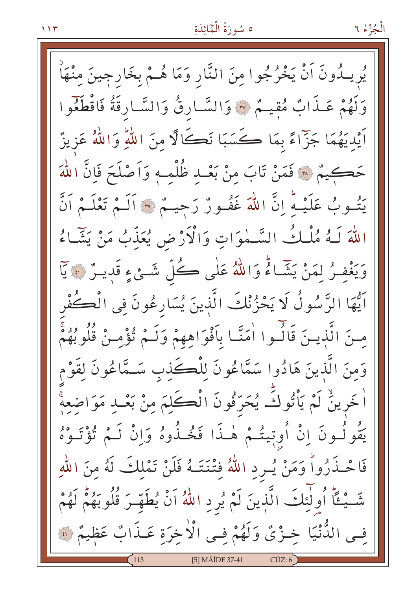يُريــدُونَ اَنْ يَخْرُجُوا مِنَ النَّارِ وَمَا هُــمْ بخَارجينَ مِنْهَا وَلَهُمْ عَـذَابٌ مُقِيـمٌ ۞ وَالسَّـارِقُ وَالسَّـارِقَةُ فَاقْطَغُوا اَيْدِيَهُمَا جَزَّاءً بِمَا كَسَبَا نَكَالًا مِنَ اللَّهِ وَاللَّهُ عَزِيزٌ حَكِيمٌ ۞ فَمَنْ تَابَ منْ بَعْـد ظُلْمـهِ وَأَصْلَحَ فَإِنَّ اللَّهَ يَتُسُوبُ عَلَيْهِ ۚ إِنَّ اللَّهَ غَفُسُورٌ رَحِيـٌّ \* أَلَـٰمٌ تَعْلَـٰمُ أَنَّ اللَّهَ لَـهُ مُلْكُ السَّـمٰوَاتِ وَالْأَرْضِ يُعَذِّبُ مَنْ يَشَّـاءُ وَيَغْفِرُ لِمَنْ يَشَاءُ وَاللَّهُ عَلَى كُلِّ شَئْءٍ قَدِينٌ ۚ يَا اَيُّهَا الرَّسُولُ لَا يَحْزُنْكَ الَّذِينَ يُسَارِعُونَ فِي الْڪُفْرِ مِنَ الَّذِينَ قَالَسُوا اٰمَنَّا بِأَفْوَاهِهِمْ وَلَـٰمْ تُؤْمِـنْ قُلُوبُهُمْ وَمنَ الَّذينَ هَادُوا سَمَّاعُونَ لِلْكَذِبِ سَـمَّاعُونَ لِقَوْم اْخَرِينُ لَمْ يَأْتُوكَ يُحَرِّفُونَ الْكَلِمَ مِنْ بَعْـدِ مَوَاضِعِهْ يَقُولُونَ إِنْ أُوِتِيتُمْ هٰـذَا فَخُـذُوهُ وَإِنْ لَـمْ تُؤْتَـوْهُ فَاحْـذَرُواً وَمَنْ يُـرِدِ اللَّهُ فِتْنَتَــهُ فَلَنْ تَمْلِكَ لَهُ مِنَ اللَّهِ شَّـيْـئًا أُولَٰئِكَ الَّذِينَ لَمْ يُرِدِ اللّهُ أَنْ يُطَهِّـرَ قُلُوبَهُمْ لَهُمْ فِي الدُّنْيَا خِـزْيٌ وَلَهُمْ فِي الْأَخِرَةِ عَـذَابٌ عَظِيمٌ ۞ [5] MÂİDE 37-41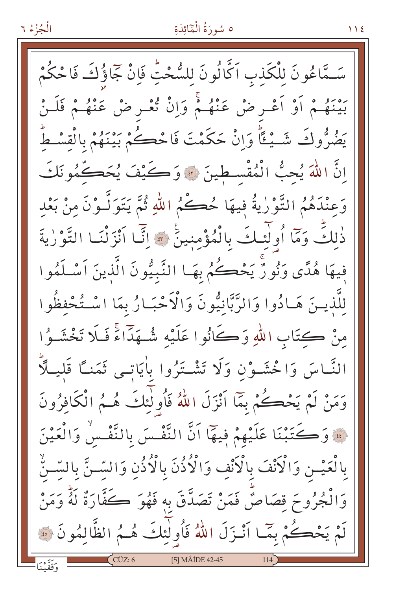#### الْجُزْءُ ٦

# ه سُورَةُ الْمَائِدَةِ

 $\bigwedge$  {

سَـمَّاعُونَ للْكَذبِ اَكَّالُونَ لِلسُّحْتِ فَإِنْ جَاؤُكَ فَاحْكُمْ بَيْنَهُمْ أَوْ أَعْـرِ ضْ عَنْهُـمْ وَإِنْ تُعْـرِ ضْ عَنْهُـمْ فَلَـنْ يَضُرُّوكَ شَــْـئًا وَإِنْ حَكَمْتَ فَاحْكُمْ بَيْنَهُمْ بِالْقِسْطُ اِنَّ اللَّهَ يُحِبُّ الْمُقْسطينَ ۞ وَكَيْفَ يُحَكِّمُونَكَ وَعِنْدَهُمُ التَّوْرٰيةُ فِيهَا حُڪُمُ اللّٰهِ ثُمَّ يَتَوَلَّـوْنَ منْ بَعْد ذٰلكَ وَمَآ أُولَٰئِكَ بِالْمُؤْمِنِينَ \* إِنَّمَا ٱنْزَلْنَا التَّوْرٰيةَ فِيهَا هُدًى وَنُورٌ يَحْكُمُ بِهَـا النَّبِيُّونَ الَّذِينَ اَسْلَمُوا لِلَّذِيـنَ هَـادُوا وَالرَّبَّانِيُّونَ وَالْأَحْبَـارُ بِمَا اسْـتُحْفِظُوا مِنْ كِتَابِ اللَّهِ وَكَانُوا عَلَيْه شُـهَدًّاءً فَلَا تَخْشَـوُا النَّـاسَ وَاخْشَـوْنِ وَلَا تَشْـتَرُوا بِاٰيَاتــى ثَمَنــًا قَليــلَّا وَمَنْ لَمْ يَحْكُمْ بِمَا اَنْزَلَ اللَّهُ فَأُولٰئِكَ هُـمُ الْكَافِرُونَ فَ وَكَتَبْنَا عَلَيْهِمْ فِيهَا أَنَّ النَّفْسَ بِالنَّفْسُ وَالْعَيْنَ بِالْعَيْـنِ وَالْأَنْفَ بِالْأَنْفِ وَالْأُذُنَ بِالْأُذُنِ وَالسَّـنَّ بِالسَّـنِّ وَالْجُرُوحَ قِصَاصٌ فَمَنْ تَصَدَّقَ بِهِ فَهُوَ ڪَفَّارَةٌ لَهُ وَمَنْ لَمْ يَحْكُمْ بِمَّا أَنْـزَلَ اللَّهُ فَأُولٰئِكَ هُـمُ الظَّالِمُونَ ۞  $C\ddot{U}Z:6$ [5] MÂİDE 42-45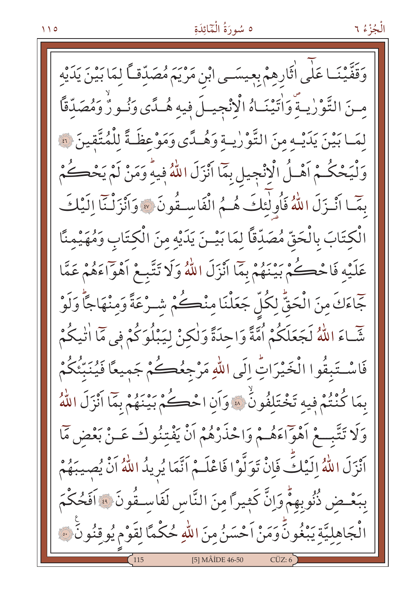وَقَفَّيْنَـا عَلٰى اٰثَارِهِمْ بِعِيسَـى ابْنِ مَرْيَمَ مُصَدِّقـّاً لِمَا بَيْنَ يَدَيْهِ مسنَ التَّوْرٰيةَ وَاٰتَيْنَـاهُ الْإِنْجِيـلَ فِيهِ هُـدًى وَنُـورٌ وَمُصَدِّقًا لِمَـابَيْنَ يَدَيْـهِ مِنَ التَّوْرِيـةِ وَهُـدًى وَمَوْعِظَـةً لِلْمُتَّقِينَ ۞ وَلْيَحْكُمْ اَهْـلُ الْإِنْجِيلِ بِمَاۤا اَنْزَلَ اللّهُ فِيهِۗ وَمَنْ لَمْ يَحْكُمْ بِمَّـا أَنْـزَلَ اللَّهُ فَأُولِٰئِكَ هُـمُ الْفَاسِـقُونَ » وَأَنْزَلْنَا إِلَيْكَ الْكِتَابَ بِالْحَقِّ مُصَدِّقًا لِمَا بَيْـنَ يَدَيْهِ مِنَ الْكِتَابِ وَمُهَيْمِنًا عَلَيْهِ فَاحْڪُمْ بَيْنَهُمْ بِمَا اَنْزَلَ اللَّهُ وَلَا تَتَّبِعْ اَهْوَاءَهُمْ عَمَّا جَّاءَكَ مِنَ الْحَقُّ لِكُلِّ جَعَلْنَا مِنْكُمْ شِـرْعَةً وَمِنْهَاجًاْ وَلَوْ شَّـاءَ اللَّهُ لَجَعَلَكُمْ أُمَّةً وَاحِدَةً وَلٰكِنْ لِيَبْلُوَكُمْ فِي مَّا اٰتِيكُمْ فَاسْتَبِقُوا الْخَيْرَاتِّ إِلَى اللّهِ مَرْجِعُكُمْ جَمِيعًا فَيُنَبِّئُكُمْ بِمَا كُنْتُمْ فِيهِ تَخْتَلِفُونَٰ ۞ وَأَنِ احْكُمْ بَيْنَهُمْ بِمَا أَنْزَلَ اللَّهُ وَلَا تَتَّبِّــعْ أَهْوَاءَهُــمْ وَاحْذَرْهُمْ أَنْ يَفْتِنُوكَ عَــنْ بَعْضٍ مَمَّا اَنْزَلَ اللَّهُ إِلَيْكَ فَإِنْ تَوَلَّوْا فَاعْلَـمْ اَتَّمَا يُرِيدُ اللَّهُ اَنْ يُصِيبَهُمْ بِبَعْـضِ ذُنُوبِهِمْٓ وَإِنَّ كَثِيراً مِنَ النَّاسِ لَفَاسِـقُونَ ﴾ اَفَحُكْمَ الْجَاهِلِيَّةِ يَبْغُونَّ وَمَنْ اَحْسَنُ مِنَ اللّهِ حُكْمًا لِقَوْمٍ يُوقِنُونَ ۞ [5] MÂİDE 46-50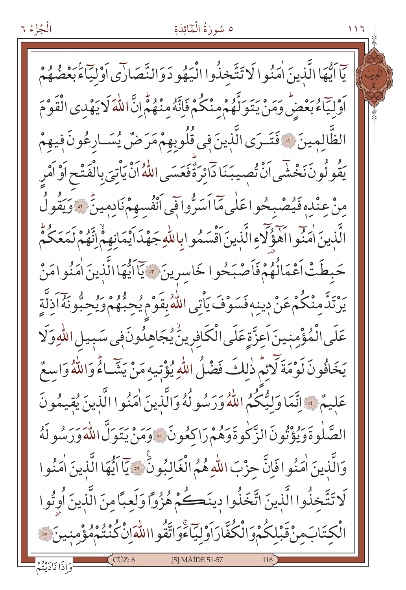يّاَ أَيُّهَا الَّذِينَ اٰمَنُو الۡاتِّتَّخذُوا الْيَهُو دَوَالنَّصَارَى أَوْلِيٓاَءَٰبَعْضُهُمْ أَوْلِيَاءُبَعْضُ وَمَنْ يَتَوَلَّهُمْ مِنْكُمْ فَإِنَّهُ مِنْهُمْ إِنَّ اللّٰهَ لَا يَهْدِى الْقَوْمَ الظَّالمينَ ۞ فَتَـرَى الَّذِينَ في قُلُوبِهِمْ مَرَضٌ يُسَـارِعُونَ فِيهِمْ يَقُو لُونَ نَخْشَى اَنْ تُصيبَنَا دَائِرَةٌ فَعَسَى اللّٰهُ اَنْ يَاْتِيَ بِالْفَتْحِ اَوْ اَمْرِ مِنْ عِنْدِهِ فَيُصْبِحُوا عَلَى مَاۤاَسَرُّواقِي ٱنْفُسِهِمْ نَادِمِينَّ ﴾ وَيَقُولُ الَّذِينَ اٰمَنُّوااَهَوْكَمُوالَّذِينَ اَقْسَمُوا بِاللّهِ جَهْدَ اَيْمَانِهِمْ اِنَّهُمْ لَمَعَكُمْ حَبطَتْ اَعْمَالُهُمْ فَاَصْبَحُوا خَاسِرِينَ ﴾ إِيَّا اَيُّهَا الَّذِينَ اٰمَنُوا مَنْ ۦ۠ۥٛؠؘڗۜٙٮۜڡؚڹ۟ڬٛؗمْ عَنْ دِينِهِ فَسَوْفَ يَأْتِى اللّٰهُ بِقَوْمٍ يُحِبُّهُمْ وَيُحِبُّونَهُ اَذِلَّةٍ عَلَى الْمُؤْمِنِينَ اَعِزَّةٍ عَلَى الْكَافِرِينَ يُجَاهِدُونَ فِي سَبِيلِ اللَّهِ وَلَا يَخَافُونَ لَوْمَةَ لَائِمٌ ذٰلِكَ فَضْلُ اللّهِ يُؤْتِيهِ مَنْ يَشَاءُ وَاللّهُ وَاسِعٌ عَليمٌ \* إِنَّمَا وَلِيُّكُمُ اللَّهُ وَرَسُولُهُ وَالَّذِينَ اٰمَنُوا الَّذِينَ يُقِيمُونَ الصَّلٰوةَوَيُؤْتُونَ الزَّكْوةَوَهُمْ رَاكِعُونَ وَمَنْ يَتَوَلَّ اللّٰهَ وَرَسُو لَهُ وَالَّذِينَ اٰمَنُوا فَإِنَّ حِزْبَ اللَّهِ هُمُ الْغَالِبُونِّ ۞ يَآ اَيُّهَا الَّذِينَ اٰمَنُوا لَا تَتَّخذُوا الَّذينَ اتَّخَذُوا دِينَكُمْ هُزُواً وَلَعِبَّا مِنَ الَّذِينَ أُوتُوا ۠ڷڮؾؘٳڹڡؚڹ۠؋ۜڹڸڬٛۨڋۅؘٳڷڬٛڡٞۜٳڔؘٳؘۏۛڸؾؖٲٶۧٳؾۜٞقؙۅٳٳڵڷڡۜٳڹ۠ػٛٮ۬ۛؾ۠ڋۿۄؚ۠ڡڹۑڹؘ [5] MÂİDE 51-57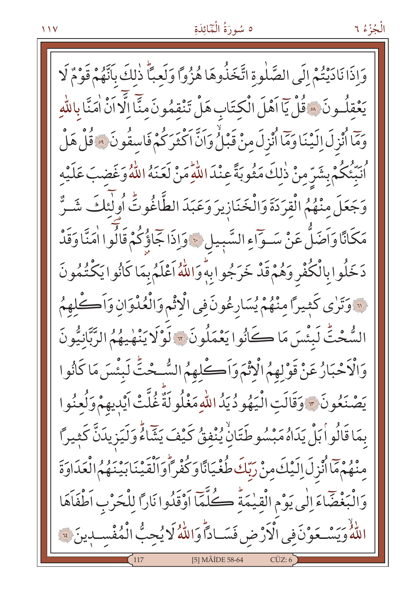الْجُزْءُ ٦

وَإِذَا نَادَيْتُمْ إِلَى الصَّلٰوةِ اتَّخَذُوهَا هُزُواً وَلَعبًّا ذٰلكَ بِأَنَّهُمْ قَوْمٌ لَا يَعْقِلُونَ هَ قُلْ يَاۤ اَهْلَ الْكِتَابِ هَلْ تَنْقِمُونَ مِنَّاۤ اِلَّا اَنْ اٰمَنَّا بِاللّهِ حِمّا أُنْزِلَ إِلَيْنَا وَمَا أُنْزِلَ مِنْ قَبْلُ وَإِنَّ اكْثَرِكُمْ فَاسِقُونَ ۚ وَقُلْ هَلْ لْهِ مِنْ مِنْ يَبْسِّرِ مِنْ ذٰلِكَ مَثُوبَةً عِنْدَ اللَّهِ مَنْ لَعَنَهُ اللَّهُ وَغَضبَ عَلَيْه وَجَعَلَ مِنْهُمُ الْقِرَدَةَ وَالْخَنَازِيرَ وَعَبَدَ الطَّاغُوتُ أُولَئِكَ شَـرٌّ مَكَانًا وَاَضَلَّ عَنْ سَـوّاءِ السَّبِيلِ ﴾ وَإِذَا جَاؤُكُمْ قَالُوا اٰمَنَّا وَقَدْ دَخَلُوابِالْكُفَّرِ وَهُمْ قَدْ خَرَجُوابِهِ وَاللَّهُ أَعْلَمُ بِمَا كَانُوا يَكْتُمُونَ لَّ وَتَرٰى كَثِيرًا مِنْهُمْ يُسَارِعُونَ فِي الْإِثْمِ وَالْعُدْوَانِ وَأَكْلِهِمُ الشُّحْتُّ لَبِئْسَ مَا ڪَانُوا يَعْمَلُونَ ۞ لَوْلَا يَنْهٰيهُمُ الرَّبَّانِيُّونَ وَالْإَحْبَارُ عَنْ قَوْلِهِمُ الْإِثْمَ وَاَكْلِهِمُ السُّحْتِّ لَبِئْسَ مَا كَانُوا يَصْنَعُونَ \* وَقَالَتِ الْيَهُودُيَدُ اللّهِ مَغْلُولَةٌ غُلَّتْ أَيْدِيهِمْ وَلُعِنُوا بِمَا قَالُواْ بَلْ يَدَاهُ مَبْسُوطَتَانْ يُنْفقُ كَيْفَ يَشَاءُ وَلَيَزِيدَنَّ كَثِيراً مِنْهُمْهَاْ أُنْزِلَ إِلَيْكَ مِنْ رَبِّكَ طُغْيَانًا وَكُفْراً وَالْقَيْنَابِينَهُمُ الْعَدَاوَةَ وَالْبَغْضَاءَ إِلَى يَوْمِ الْقِيْمَةُ كُلَّمَا اَوْقَدُوا نَارًا لِلْحَرْبِ اَطْفَاَهَا للَّهُ وَيَسْعَوْنَ فِي الْأَرْضِ فَسَـادًا وَاللَّهُ لَا يُحِبُّ الْمُفْسـدِينَ فَقَ [5] MÂİDE 58-64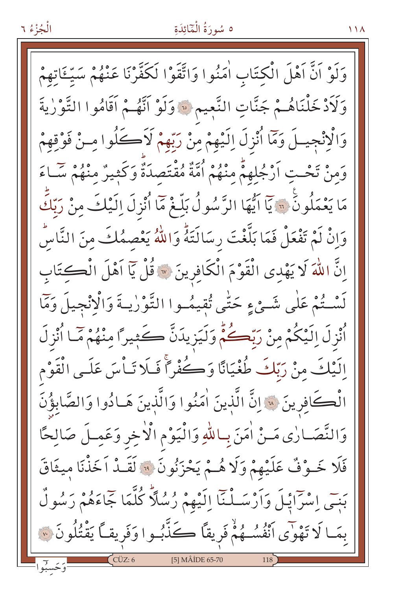### الْجُزْءُ ٦

# ه سُورَةُ الْمَائِدَةِ

وَلَوْ اَنَّ اَهْلَ الْكِتَابِ اٰمَنُوا وَاتَّقَوْا لَكَفَّرْنَا عَنْهُمْ سَيِّئَاتِهِمْ وَلَاَدْخَلْنَاهُمْ جَنَّاتِ النَّعِيمِ ﴾ وَلَوْ أَنَّهُمْ أَقَامُوا التَّوْرٰيةَ وَالْإِنْجِيلَ وَمَا أُنْزِلَ إِلَيْهِمْ مِنْ رَبِّهِمْ لَاَكْلُوا مِنْ فَوْقِهِمْ وَمِنْ تَحْتِ أَرْجُلِهِمْ مِنْهُمْ أُمَّةٌ مُقْتَصِدَةٌ وَكَثِيرٌ مِنْهُمْ سَّاءَ مَا يَعْمَلُونَ ۞ يَآ اَيُّهَا الرَّسُولُ بَلِّغْ مَآ اُنْزِلَ اِلَيْكَ مِنْ رَبَّكَ وَإِنْ لَمْ تَفْعَلْ فَمَا بَلَّغْتَ رِسَالَتَهُ وَاللَّهُ يَعْصِمُكَ مِنَ النَّاسِّ اِنَّ اللّٰهَ لَا يَهْدِى الْقَوْمَ الْكَافِرِينَ ۞ قُلْ يَا اَهْلَ الْكِتَابِ لَسْتُمْ عَلَى شَيْءٍ حَتَّى تُقِيمُوا التَّوْرٰيةَ وَالْإِنْجِيلَ وَمَا ٱُنْزِلَ اِلَيْكُمْ مِنْ رَبِّكُمُّ وَلَيَزِيدَنَّ كَثِيرًا مِنْهُمْ مَّـا ٱُنْزِلَ إِلَيْكَ مِنْ رَبِّكَ طُغْيَانًا وَكُفْرًا فَلَا تَـاْسَ عَلَـى الْقَوْم الْكَافِرِينَ ۞ إنَّ الَّذِينَ اٰمَنُوا وَالَّذِينَ هَـادُوا وَالصَّابِؤُنَّ وَالنَّصَارٰى مَـنْ اٰمَنَ بِـاللّٰهِ وَالْيَوْمِ الْأَخِرِ وَعَمِـلَ صَالِحًا فَلَا خَـوْفٌ عَلَيْهِمْ وَلَا هُـمْ يَحْزَنُونَ ۞ لَقَـدْ اَخَذْنَا مِيثَاقَ بَنِّي إِسْرَائِيلَ وَأَرْسَـلْنَآ إِلَيْهِمْ رُسُلاً كُلَّمَا جَاءَهُمْ رَسُولٌ بِمَـا لَا تَهْوَى اَنْفُسُـهُمْْ فَرِيقاً كَذَّبُـوا وَفَرِيقاً يَقْتُلُونَ ۞ [5] MÂİDE 65-70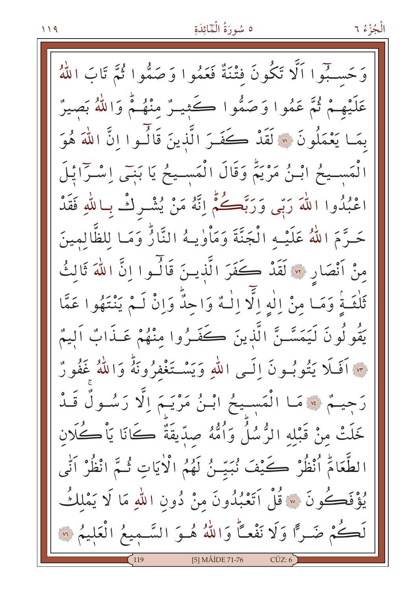وَحَسِبُوا اَلَّا تَكُونَ فَتْنَةٌ فَعَمُوا وَصَمُّوا ثُمَّ تَابَ اللَّهُ عَلَيْهِمْ ثُمَّ عَمُوا وَصَمُّوا كَثِيـرٌ مِنْهُـمٌ وَاللَّهُ بَصِيرٌ بِمَا يَعْمَلُونَ ۞ لَقَدْ كَفَـرَ الَّذِينَ قَالُـوا إِنَّ اللَّهَ هُوَ انْمَسـيحُ ابْـنُ مَرْيَمٌ وَقَالَ انْمَسـيحُ يَا بَنِـي إِسْـرَايْـلَ اعْبُدُوا اللَّهَ رَبِّي وَرَبَّكُمْ إِنَّهُ مَنْ يُشْرِكْ بِاللَّهِ فَقَدْ حَـرَّمَ اللَّهُ عَلَيْـه الْجَنَّةَ وَمَأْوٰيـهُ النَّارُّ وَمَـا للظَّالمينَ مِنْ اَنْصَارِ ۞ لَقَدْ كَفَرَ الَّذِينَ قَالُـوا اِنَّ اللَّهَ ثَالثُ ثَلْثَـةً وَمَـا مِنْ إِلٰهِ إِلَّا إِلَٰهٌ وَاحِدٌّ وَإِنْ لَـمْ يَنْتَهُوا عَمَّا يَقُولُونَ لَيَمَسَّنَّ الَّذِينَ كَفَـرُوا مِنْهُمْ عَـذَابٌ اَلِيمٌ \* آَفَلَا يَتُوبُونَ إِلَـى اللّهِ وَيَسْـتَغْفِرُونَهُ وَاللّهُ غَفُورٌ رَجِيمٌ ﴾ مَا الْمَسِيحُ ابْـنُ مَرْيَـمَ اِلَّا رَسُـولٌ قَـدْ خَلَتْ مِنْ قَبْلِهِ الرُّسُلُ وَأُمُّهُ صِدِّيقَةٌ كَانَا يَأْكُلانِ الطَّعَامُّ ٱنْظُرْ كَيْفَ نُبَيِّنُ لَهُمُ الْأَيَاتِ ثُـمَّ انْظُرْ اَنِّي يُؤْفَكُونَ ۞ قُلْ اَتَعْبُدُونَ مِنْ دُونِ اللَّهِ مَا لَا يَمْلِكُ لَكُمْ ضَرًّا وَلَا نَفْعًا وَاللَّهُ هُوَ السَّمِيعُ الْعَلِيمُ ۞ [5] MÂİDE 71-76